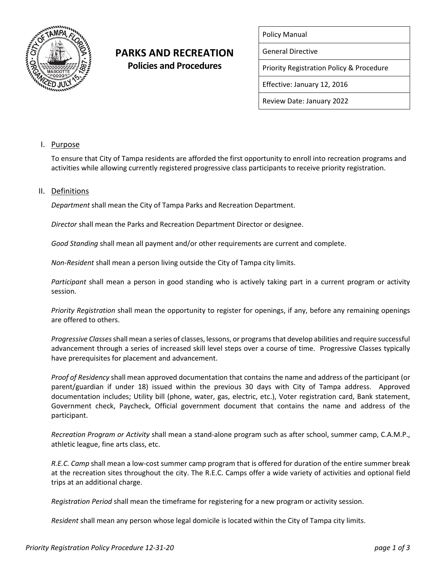

# **PARKS AND RECREATION Policies and Procedures**

|  | <b>Policy Manual</b> |
|--|----------------------|
|--|----------------------|

General Directive

Priority Registration Policy & Procedure

Effective: January 12, 2016

Review Date: January 2022

## I. Purpose

To ensure that City of Tampa residents are afforded the first opportunity to enroll into recreation programs and activities while allowing currently registered progressive class participants to receive priority registration.

### II. Definitions

*Department* shall mean the City of Tampa Parks and Recreation Department.

*Director* shall mean the Parks and Recreation Department Director or designee.

*Good Standing* shall mean all payment and/or other requirements are current and complete.

*Non-Resident* shall mean a person living outside the City of Tampa city limits.

*Participant* shall mean a person in good standing who is actively taking part in a current program or activity session.

*Priority Registration* shall mean the opportunity to register for openings, if any, before any remaining openings are offered to others.

*Progressive Classes*shall mean a series of classes, lessons, or programs that develop abilities and require successful advancement through a series of increased skill level steps over a course of time. Progressive Classes typically have prerequisites for placement and advancement.

*Proof of Residency* shall mean approved documentation that contains the name and address of the participant (or parent/guardian if under 18) issued within the previous 30 days with City of Tampa address. Approved documentation includes; Utility bill (phone, water, gas, electric, etc.), Voter registration card, Bank statement, Government check, Paycheck, Official government document that contains the name and address of the participant.

*Recreation Program or Activity* shall mean a stand-alone program such as after school, summer camp, C.A.M.P., athletic league, fine arts class, etc.

*R.E.C. Camp* shall mean a low-cost summer camp program that is offered for duration of the entire summer break at the recreation sites throughout the city. The R.E.C. Camps offer a wide variety of activities and optional field trips at an additional charge.

*Registration Period* shall mean the timeframe for registering for a new program or activity session.

*Resident* shall mean any person whose legal domicile is located within the City of Tampa city limits.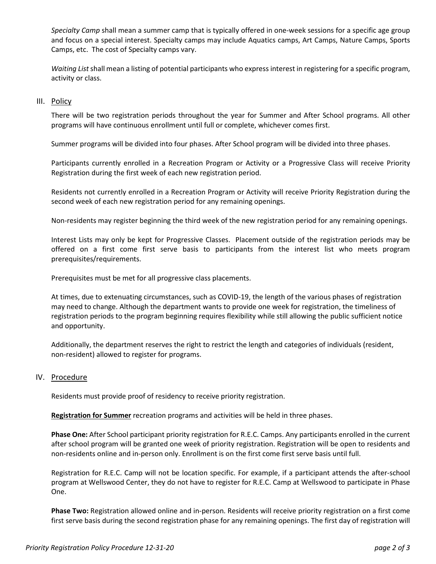*Specialty Camp* shall mean a summer camp that is typically offered in one-week sessions for a specific age group and focus on a special interest. Specialty camps may include Aquatics camps, Art Camps, Nature Camps, Sports Camps, etc. The cost of Specialty camps vary.

*Waiting List* shall mean a listing of potential participants who express interest in registering for a specific program, activity or class.

#### III. Policy

There will be two registration periods throughout the year for Summer and After School programs. All other programs will have continuous enrollment until full or complete, whichever comes first.

Summer programs will be divided into four phases. After School program will be divided into three phases.

Participants currently enrolled in a Recreation Program or Activity or a Progressive Class will receive Priority Registration during the first week of each new registration period.

Residents not currently enrolled in a Recreation Program or Activity will receive Priority Registration during the second week of each new registration period for any remaining openings.

Non-residents may register beginning the third week of the new registration period for any remaining openings.

Interest Lists may only be kept for Progressive Classes. Placement outside of the registration periods may be offered on a first come first serve basis to participants from the interest list who meets program prerequisites/requirements.

Prerequisites must be met for all progressive class placements.

At times, due to extenuating circumstances, such as COVID-19, the length of the various phases of registration may need to change. Although the department wants to provide one week for registration, the timeliness of registration periods to the program beginning requires flexibility while still allowing the public sufficient notice and opportunity.

Additionally, the department reserves the right to restrict the length and categories of individuals (resident, non-resident) allowed to register for programs.

#### IV. Procedure

Residents must provide proof of residency to receive priority registration.

**Registration for Summer** recreation programs and activities will be held in three phases.

**Phase One:** After School participant priority registration for R.E.C. Camps. Any participants enrolled in the current after school program will be granted one week of priority registration. Registration will be open to residents and non-residents online and in-person only. Enrollment is on the first come first serve basis until full.

Registration for R.E.C. Camp will not be location specific. For example, if a participant attends the after-school program at Wellswood Center, they do not have to register for R.E.C. Camp at Wellswood to participate in Phase One.

**Phase Two:** Registration allowed online and in-person. Residents will receive priority registration on a first come first serve basis during the second registration phase for any remaining openings. The first day of registration will